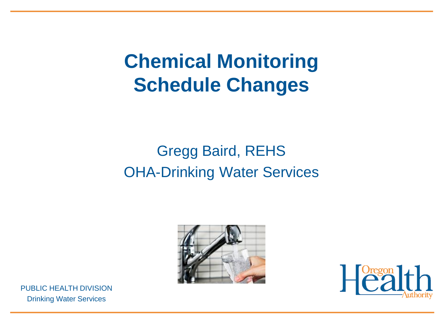### **Chemical Monitoring Schedule Changes**

#### Gregg Baird, REHS OHA-Drinking Water Services





PUBLIC HEALTH DIVISION Drinking Water Services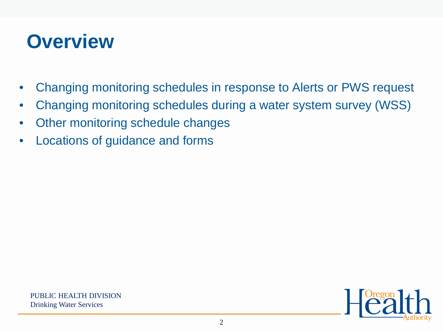#### **Overview**

- Changing monitoring schedules in response to Alerts or PWS request
- Changing monitoring schedules during a water system survey (WSS)
- Other monitoring schedule changes
- Locations of guidance and forms

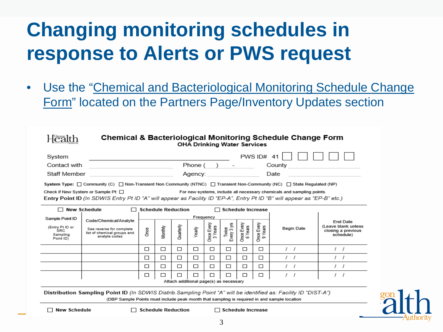### **Changing monitoring schedules in response to Alerts or PWS request**

• Use the "Chemical and Bacteriological Monitoring Schedule Change Form" located on the Partners Page/Inventory Updates section

|                                                                                        |                                                                                                                                                                                                                                         |                   |                 |           | <b>OHA Drinking Water Services</b>          |                       |                      |                       |                       | <b>Chemical &amp; Bacteriological Monitoring Schedule Change Form</b> |                                                        |
|----------------------------------------------------------------------------------------|-----------------------------------------------------------------------------------------------------------------------------------------------------------------------------------------------------------------------------------------|-------------------|-----------------|-----------|---------------------------------------------|-----------------------|----------------------|-----------------------|-----------------------|-----------------------------------------------------------------------|--------------------------------------------------------|
| System                                                                                 |                                                                                                                                                                                                                                         |                   |                 |           |                                             |                       |                      |                       | PWS $ID# 41$          |                                                                       |                                                        |
| Contact with                                                                           |                                                                                                                                                                                                                                         | Phone (<br>County |                 |           |                                             |                       |                      |                       |                       |                                                                       |                                                        |
| Staff Member                                                                           |                                                                                                                                                                                                                                         |                   | Date<br>Agency: |           |                                             |                       |                      |                       |                       |                                                                       |                                                        |
|                                                                                        | System Type: □ Community (C) □ Non-Transient Non Community (NTNC) □ Transient Non-Community (NC) □ State Regulated (NP)                                                                                                                 |                   |                 |           |                                             |                       |                      |                       |                       |                                                                       |                                                        |
|                                                                                        | Check if New System or Sample Pt: □<br>For new systems, include all necessary chemicals and sampling points.<br>Entry Point ID (In SDWIS Entry Pt ID "A" will appear as Facility ID "EP-A", Entry Pt ID "B" will appear as "EP-B" etc.) |                   |                 |           |                                             |                       |                      |                       |                       |                                                                       |                                                        |
| $\Box$ New Schedule<br><b>Schedule Reduction</b><br><b>Schedule Increase</b><br>$\Box$ |                                                                                                                                                                                                                                         |                   |                 |           |                                             |                       |                      |                       |                       |                                                                       |                                                        |
| Sample Point ID                                                                        | Code/Chemical/Analyte                                                                                                                                                                                                                   |                   |                 |           |                                             | Frequency             |                      |                       |                       |                                                                       | End Date                                               |
| (Entry Pt ID or<br>SRC<br>Sampling<br>Point ID)                                        | See reverse for complete<br>list of chemical groups and<br>analyte codes                                                                                                                                                                | Once              | Monthly         | Quarterly | Yearly                                      | Once Every<br>3 Years | Twice<br>Every 3 yrs | Once Every<br>6 Years | Once Every<br>9 Years | Begin Date                                                            | (Leave blank unless<br>closing a previous<br>schedule) |
|                                                                                        |                                                                                                                                                                                                                                         | □                 | □               | □         | □                                           | □                     | □                    | □                     | □                     | $\prime$ $\prime$                                                     | 1 I                                                    |
|                                                                                        |                                                                                                                                                                                                                                         | $\Box$            | □               | □         | □                                           | □                     | □                    | □                     | □                     | $\prime$ $\prime$                                                     | $\prime$ $\prime$                                      |
|                                                                                        |                                                                                                                                                                                                                                         | □                 | □               | □         | ⊓                                           | □                     | □                    | □                     | □                     | $\prime$ $\prime$                                                     | $\prime$ $\prime$                                      |
|                                                                                        |                                                                                                                                                                                                                                         | □                 | □               | $\Box$    | П<br>Attach additional page(s) as necessary | □                     | П                    | □                     | □                     |                                                                       | $\prime$ $\prime$                                      |
|                                                                                        | Distribution Sampling Point ID (In SDWIS Distrib Sampling Point "A" will be identified as: Facility ID "DIST-A")<br>(DBP Sample Points must include peak month that sampling is required in and sample location                         |                   |                 |           |                                             |                       |                      |                       |                       |                                                                       |                                                        |
|                                                                                        | <b>Schedule Reduction</b><br><b>New Schedule</b><br><b>Schedule Increase</b>                                                                                                                                                            |                   |                 |           |                                             |                       |                      |                       |                       |                                                                       |                                                        |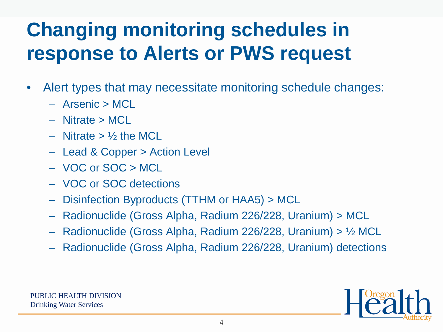# **Changing monitoring schedules in response to Alerts or PWS request**

- Alert types that may necessitate monitoring schedule changes:
	- Arsenic > MCL
	- Nitrate > MCL
	- $-$  Nitrate  $>$  1/<sub>2</sub> the MCL
	- Lead & Copper > Action Level
	- VOC or SOC > MCL
	- VOC or SOC detections
	- Disinfection Byproducts (TTHM or HAA5) > MCL
	- Radionuclide (Gross Alpha, Radium 226/228, Uranium) > MCL
	- Radionuclide (Gross Alpha, Radium 226/228, Uranium) > ½ MCL
	- Radionuclide (Gross Alpha, Radium 226/228, Uranium) detections

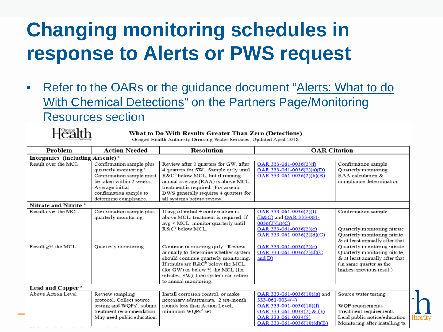### **Changing monitoring schedules in response to Alerts or PWS request**

• Refer to the OARs or the guidance document "Alerts: What to do With Chemical Detections" on the Partners Page/Monitoring Resources section



#### What to Do With Results Greater Than Zero (Detections)

Oregon Health Authority Drinking Water Services, Updated April 2018

| Problem                                                    | Action Needed                                                                                                                                                                                   | <b>Resolution</b>                                                                                                                                                                                                                                                                                                                                                                                                         | <b>OAR Citation</b>                                                                                                                                                                         |                                                                                                                                                                                                                                                                                 |  |  |  |
|------------------------------------------------------------|-------------------------------------------------------------------------------------------------------------------------------------------------------------------------------------------------|---------------------------------------------------------------------------------------------------------------------------------------------------------------------------------------------------------------------------------------------------------------------------------------------------------------------------------------------------------------------------------------------------------------------------|---------------------------------------------------------------------------------------------------------------------------------------------------------------------------------------------|---------------------------------------------------------------------------------------------------------------------------------------------------------------------------------------------------------------------------------------------------------------------------------|--|--|--|
| Inorganics (including Arsenic) <sup>a</sup>                |                                                                                                                                                                                                 |                                                                                                                                                                                                                                                                                                                                                                                                                           |                                                                                                                                                                                             |                                                                                                                                                                                                                                                                                 |  |  |  |
| Result over the MCL                                        | Confirmation sample plus<br>quarterly monitoring <sup>a</sup> .<br>Confirmation sample must<br>be taken within 2 weeks.<br>Average initial +<br>confirmation sample to<br>determine compliance. | Review after 2 quarters for GW, after<br>4 quarters for SW. Sample qtrly until<br>R&C <sup>b</sup> below MCL, but if running<br>annual average (RAA) is above MCL,<br>treatment is required. For arsenic,<br>DWS generally requires 4 quarters for<br>all systems before review.                                                                                                                                          | OAR 333-061-0036(2)(f)<br>OAR 333-061-0036(2)(a)(D)<br>OAR 333-061-0036(2)(h)(B)                                                                                                            | Confirmation sample<br>Quarterly monitoring<br>RAA calculation &<br>compliance determination                                                                                                                                                                                    |  |  |  |
| Nitrate and Nitrite <sup>a</sup>                           |                                                                                                                                                                                                 |                                                                                                                                                                                                                                                                                                                                                                                                                           |                                                                                                                                                                                             |                                                                                                                                                                                                                                                                                 |  |  |  |
| Result over the MCL<br>Result $\geq$ $\frac{1}{2}$ the MCL | Confirmation sample plus<br>quarterly monitoring.<br>Quarterly monitoring                                                                                                                       | If avg of initial $+$ confirmation is<br>above MCL, treatment is required. If<br>avg < MCL, monitor quarterly until<br>$R\&C^b$ below MCL.<br>Continue monitoring qtrly. Review<br>annually to determine whether system<br>should continue quarterly monitoring.<br>If results are R&C <sup>b</sup> below the MCL<br>(for GW) or below 1/2 the MCL (for<br>nitrates, SW), then system can return<br>to annual monitoring. | OAR 333-061-0036(2)(f)<br>(B&C) and OAR 333-061-<br>0036(2)(h)(C)<br>OAR 333-061-0036(2)(c)<br>OAR 333-061-0036(2)(d)(C)<br>OAR 333-061-0036(2)(c)<br>OAR 333-061-0036(2)(d)(C<br>and $D$ ) | Confirmation sample<br>Quarterly monitoring nitrate<br>Quarterly monitoring nitrite<br>& at least annually after that<br>Quarterly monitoring nitrate<br>Quarterly monitoring nitrite,<br>& at least annually after that<br>(in same quarter as the<br>highest previous result) |  |  |  |
| Lead and Copper <sup>a</sup>                               |                                                                                                                                                                                                 |                                                                                                                                                                                                                                                                                                                                                                                                                           |                                                                                                                                                                                             |                                                                                                                                                                                                                                                                                 |  |  |  |
| Above Action Level                                         | Review sampling<br>protocol. Collect source<br>testing and WQPs <sup>c</sup> , submit<br>treatment recommendation.<br>May need public education.                                                | Install corrosion control, or make<br>necessary adjustments. 2 six-month<br>rounds less than Action Level.<br>minimum WQPs <sup>c</sup> set.                                                                                                                                                                                                                                                                              | OAR 333-061-0036(10)(g) and<br>333-061-0034(4)<br>OAR 333-061-0036(10)(f)<br>OAR 333-061-0034(2) & (3)<br>OAR 333-061-0034(5)<br>$OAR$ 333-061-0036(10)(d)(B)                               | Source water testing<br>WQP requirements<br>Treatment requirements<br>Lead public notice/education<br>Monitoring after installing tx                                                                                                                                            |  |  |  |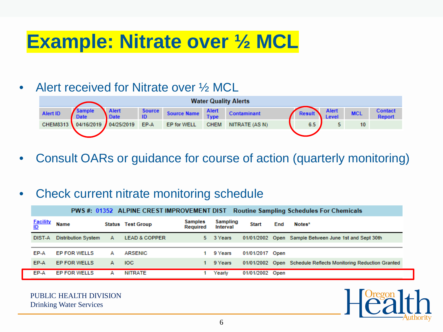#### **Example: Nitrate over ½ MCL**

#### • Alert received for Nitrate over 1/2 MCL



• Consult OARs or guidance for course of action (quarterly monitoring)

#### • Check current nitrate monitoring schedule

|                              |                            |   | PWS#: 01352 ALPINE CREST IMPROVEMENT DIST |                            |                      |                 |     | <b>Routine Sampling Schedules For Chemicals</b>                |
|------------------------------|----------------------------|---|-------------------------------------------|----------------------------|----------------------|-----------------|-----|----------------------------------------------------------------|
| <u>Facility</u><br><u>ID</u> | <b>Name</b>                |   | <b>Status Test Group</b>                  | <b>Samples</b><br>Required | Sampling<br>Interval | <b>Start</b>    | End | Notes*                                                         |
| DIST-A                       | <b>Distribution System</b> | A | <b>LEAD &amp; COPPER</b>                  | 5.                         | 3 Years              | 01/01/2002      |     | Open Sample Between June 1st and Sept 30th                     |
| EP-A                         | <b>EP FOR WELLS</b>        | А | <b>ARSENIC</b>                            |                            | 9 Years              | 01/01/2017 Open |     |                                                                |
| EP-A                         | <b>EP FOR WELLS</b>        | А | IOC.                                      |                            | 9 Years              |                 |     | 01/01/2002 Open Schedule Reflects Monitoring Reduction Granted |
| EP-A                         | <b>EP FOR WELLS</b>        | А | NITRATE                                   |                            | Yearly               | 01/01/2002 Open |     |                                                                |

PUBLIC HEALTH DIVISION Drinking Water Services

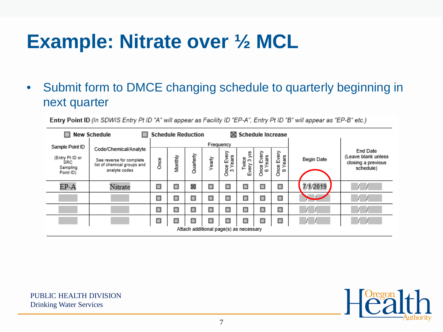### **Example: Nitrate over ½ MCL**

• Submit form to DMCE changing schedule to quarterly beginning in next quarter

Entry Point ID (In SDWIS Entry Pt ID "A" will appear as Facility ID "EP-A", Entry Pt ID "B" will appear as "EP-B" etc.)

|                                                  | New Schedule                                                             | <b>Schedule Reduction</b>                                                                                                                                                  |   |   |                                                                    |           | $\boxtimes$ Schedule Increase |   |   |          |  |
|--------------------------------------------------|--------------------------------------------------------------------------|----------------------------------------------------------------------------------------------------------------------------------------------------------------------------|---|---|--------------------------------------------------------------------|-----------|-------------------------------|---|---|----------|--|
| Sample Point ID                                  | Code/Chemical/Analyte                                                    |                                                                                                                                                                            |   |   |                                                                    | Frequency |                               |   |   |          |  |
| (Entry Pt ID or<br>SRC.<br>Sampling<br>Point ID) | See reverse for complete<br>list of chemical groups and<br>analyte codes | Every<br>Once Every<br>3 Years<br>Once Every<br>6 Years<br>Twice<br>ery 3 yrs<br>Quarterly<br>Years<br>Monthly<br>Yearly<br>Begin Date<br>Once<br>yery<br>Önce<br>o,<br>ũТ |   |   | End Date<br>(Leave blank unless<br>closing a previous<br>schedule) |           |                               |   |   |          |  |
| $EP-A$                                           | Nitrate                                                                  | Ω                                                                                                                                                                          | □ | ⊠ | □                                                                  | □         | □                             | Ω | Ω | 7/1/2019 |  |
|                                                  |                                                                          | Ω                                                                                                                                                                          | □ | Ω | □                                                                  | □         | □                             | Ω | Ω |          |  |
|                                                  |                                                                          | □                                                                                                                                                                          | □ | Ω | □                                                                  | □         | □                             | Ω | Ω |          |  |
|                                                  |                                                                          | Ω                                                                                                                                                                          |   | П |                                                                    | □         | □                             | Ω | Ω |          |  |
|                                                  | Attach additional page(s) as necessary                                   |                                                                                                                                                                            |   |   |                                                                    |           |                               |   |   |          |  |

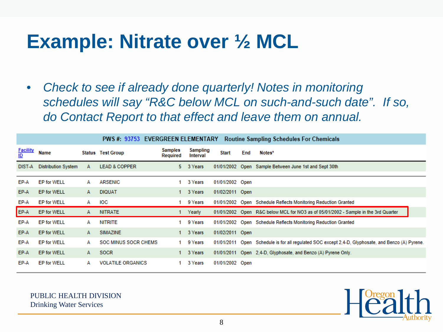#### **Example: Nitrate over ½ MCL**

• *Check to see if already done quarterly! Notes in monitoring schedules will say "R&C below MCL on such-and-such date". If so, do Contact Report to that effect and leave them on annual.*

|                              |                            |   |                             | PWS#: 93753 EVERGREEN ELEMENTARY |                      |                 |     | <b>Routine Sampling Schedules For Chemicals</b>                                                   |
|------------------------------|----------------------------|---|-----------------------------|----------------------------------|----------------------|-----------------|-----|---------------------------------------------------------------------------------------------------|
| <b>Facility</b><br><u>ID</u> | Name                       |   | <b>Status Test Group</b>    | Samples<br>Required              | Sampling<br>Interval | <b>Start</b>    | End | Notes*                                                                                            |
|                              | DIST-A Distribution System | A | <b>LEAD &amp; COPPER</b>    |                                  | 5 3 Years            |                 |     | 01/01/2002 Open Sample Between June 1st and Sept 30th                                             |
| EP-A                         | <b>EP for WELL</b>         | А | <b>ARSENIC</b>              |                                  | 3 Years              | 01/01/2002 Open |     |                                                                                                   |
| EP-A                         | <b>EP for WELL</b>         | A | <b>DIQUAT</b>               |                                  | 1 3 Years            | 01/02/2011 Open |     |                                                                                                   |
| EP-A                         | <b>EP for WELL</b>         | A | IOC                         |                                  | 9 Years              |                 |     | 01/01/2002 Open Schedule Reflects Monitoring Reduction Granted                                    |
| EP-A                         | <b>EP for WELL</b>         | A | <b>NITRATE</b>              |                                  | Yearly               |                 |     | 01/01/2002 Open R&C below MCL for NO3 as of 05/01/2002 - Sample in the 3rd Quarter                |
| EP-A                         | <b>EP for WELL</b>         | А | <b>NITRITE</b>              |                                  | 9 Years              |                 |     | 01/01/2002 Open Schedule Reflects Monitoring Reduction Granted                                    |
| EP-A                         | <b>EP for WELL</b>         | A | <b>SIMAZINE</b>             |                                  | 1 3 Years            | 01/02/2011 Open |     |                                                                                                   |
| EP-A                         | <b>EP for WELL</b>         | A | <b>SOC MINUS SOCR CHEMS</b> |                                  | 1 9 Years            |                 |     | 01/01/2011 Open Schedule is for all requiated SOC except 2,4-D, Glyphosate, and Benzo (A) Pyrene. |
| EP-A                         | <b>EP for WELL</b>         | A | <b>SOCR</b>                 |                                  | 1 3 Years            |                 |     | 01/01/2011 Open 2,4-D, Glyphosate, and Benzo (A) Pyrene Only.                                     |
| EP-A                         | <b>EP for WELL</b>         | А | <b>VOLATILE ORGANICS</b>    |                                  | 3 Years              | 01/01/2002 Open |     |                                                                                                   |

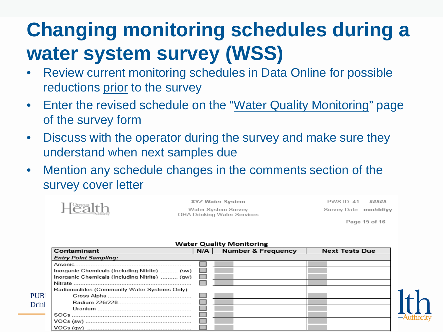# **Changing monitoring schedules during a water system survey (WSS)**

- Review current monitoring schedules in Data Online for possible reductions prior to the survey
- Enter the revised schedule on the "Water Quality Monitoring" page of the survey form
- Discuss with the operator during the survey and make sure they understand when next samples due
- Mention any schedule changes in the comments section of the survey cover letter



 $PWSID: 41$ ##### Survey Date: mm/dd/yy

Page 15 of 16

|       |                                                                                                                                                                                                                                                                                                                                        |     | $\cdots$                      |                       |
|-------|----------------------------------------------------------------------------------------------------------------------------------------------------------------------------------------------------------------------------------------------------------------------------------------------------------------------------------------|-----|-------------------------------|-----------------------|
|       | Contaminant                                                                                                                                                                                                                                                                                                                            | N/A | <b>Number &amp; Frequency</b> | <b>Next Tests Due</b> |
|       | <b>Entry Point Sampling:</b>                                                                                                                                                                                                                                                                                                           |     |                               |                       |
|       |                                                                                                                                                                                                                                                                                                                                        |     |                               |                       |
|       | Inorganic Chemicals (Including Nitrite)  (sw)                                                                                                                                                                                                                                                                                          |     |                               |                       |
|       | Inorganic Chemicals (Including Nitrite)  (gw)                                                                                                                                                                                                                                                                                          |     |                               |                       |
|       |                                                                                                                                                                                                                                                                                                                                        |     |                               |                       |
|       | Radionuclides (Community Water Systems Only):                                                                                                                                                                                                                                                                                          |     |                               |                       |
| PUB.  |                                                                                                                                                                                                                                                                                                                                        |     |                               |                       |
| Drinl |                                                                                                                                                                                                                                                                                                                                        |     |                               |                       |
|       |                                                                                                                                                                                                                                                                                                                                        |     |                               |                       |
|       |                                                                                                                                                                                                                                                                                                                                        |     |                               |                       |
|       |                                                                                                                                                                                                                                                                                                                                        |     |                               |                       |
|       | $VOCs$ (aw) $\ldots$ $\ldots$ $\ldots$ $\ldots$ $\ldots$ $\ldots$ $\ldots$ $\ldots$ $\ldots$ $\ldots$ $\ldots$ $\ldots$ $\ldots$ $\ldots$ $\ldots$ $\ldots$ $\ldots$ $\ldots$ $\ldots$ $\ldots$ $\ldots$ $\ldots$ $\ldots$ $\ldots$ $\ldots$ $\ldots$ $\ldots$ $\ldots$ $\ldots$ $\ldots$ $\ldots$ $\ldots$ $\ldots$ $\ldots$ $\ldots$ |     |                               |                       |

#### **Water Quality Monitoring**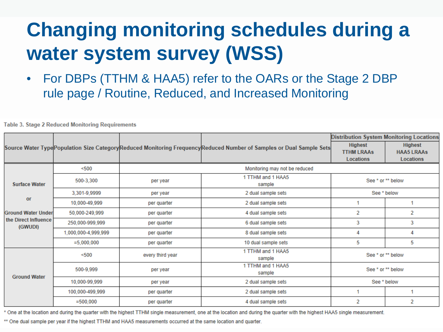# **Changing monitoring schedules during a water system survey (WSS)**

• For DBPs (TTHM & HAA5) refer to the OARs or the Stage 2 DBP rule page / Routine, Reduced, and Increased Monitoring

|                                                                    |                     |                  |                                                                                                                       | <b>Distribution System Monitoring Locations</b>  |                                                  |  |  |
|--------------------------------------------------------------------|---------------------|------------------|-----------------------------------------------------------------------------------------------------------------------|--------------------------------------------------|--------------------------------------------------|--|--|
|                                                                    |                     |                  | Source Water Type Population Size Category Reduced Monitoring Frequency Reduced Number of Samples or Dual Sample Sets | <b>Highest</b><br><b>TTHM LRAAS</b><br>Locations | <b>Highest</b><br><b>HAA5 LRAAs</b><br>Locations |  |  |
|                                                                    | < 500               |                  | Monitoring may not be reduced                                                                                         |                                                  |                                                  |  |  |
| <b>Surface Water</b>                                               | 500-3,300           | per year         | 1 TTHM and 1 HAA5<br>sample                                                                                           | See * or ** below                                |                                                  |  |  |
|                                                                    | 3,301-9,9999        | per year         | 2 dual sample sets                                                                                                    |                                                  | See * below                                      |  |  |
| or<br><b>Ground Water Under</b><br>the Direct Influence<br>(GWUDI) | 10,000-49,999       | per quarter      | 2 dual sample sets                                                                                                    |                                                  |                                                  |  |  |
|                                                                    | 50,000-249,999      | per quarter      | 4 dual sample sets                                                                                                    | 2                                                | 2                                                |  |  |
|                                                                    | 250,000-999,999     | per quarter      | 6 dual sample sets                                                                                                    | 3                                                | 3                                                |  |  |
|                                                                    | 1.000.000-4.999.999 | per quarter      | 8 dual sample sets                                                                                                    | 4                                                | 4                                                |  |  |
|                                                                    | $=5,000,000$        | per quarter      | 10 dual sample sets                                                                                                   | 5                                                | 5                                                |  |  |
|                                                                    | $500$               | every third year | 1 TTHM and 1 HAA5<br>sample                                                                                           | See * or ** below                                |                                                  |  |  |
|                                                                    | 500-9,999           | per year         | 1 TTHM and 1 HAA5<br>sample                                                                                           | See * or ** below                                |                                                  |  |  |
| <b>Ground Water</b>                                                | 10,000-99,999       | per year         | 2 dual sample sets                                                                                                    | See * below                                      |                                                  |  |  |
|                                                                    | 100,000-499,999     | per quarter      | 2 dual sample sets                                                                                                    |                                                  |                                                  |  |  |
|                                                                    | $=500,000$          | per quarter      | 4 dual sample sets                                                                                                    | 2                                                | 2                                                |  |  |

**Table 3. Stage 2 Reduced Monitoring Requirements** 

\* One at the location and during the quarter with the highest TTHM single measurement, one at the location and during the quarter with the highest HAA5 single measurement.

\*\* One dual sample per year if the highest TTHM and HAA5 measurements occurred at the same location and quarter.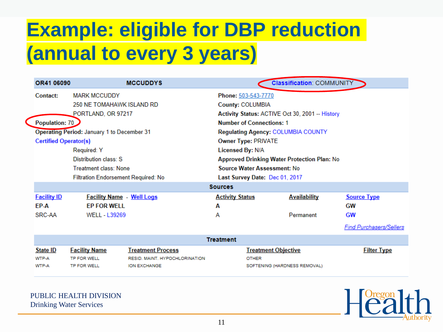| OR41 06090                   | <b>MCCUDDYS</b>                                   |                |                                                    | <b>Classification: COMMUNITY</b>                |                                |  |  |  |  |
|------------------------------|---------------------------------------------------|----------------|----------------------------------------------------|-------------------------------------------------|--------------------------------|--|--|--|--|
| Contact:                     | <b>MARK MCCUDDY</b>                               |                | Phone: 503-543-7770                                |                                                 |                                |  |  |  |  |
|                              | 250 NE TOMAHAWK ISLAND RD                         |                | County: COLUMBIA                                   |                                                 |                                |  |  |  |  |
|                              | PORTLAND, OR 97217                                |                |                                                    | Activity Status: ACTIVE Oct 30, 2001 -- History |                                |  |  |  |  |
| Population: 70               |                                                   |                | <b>Number of Connections: 1</b>                    |                                                 |                                |  |  |  |  |
|                              | <b>Operating Period: January 1 to December 31</b> |                |                                                    | <b>Regulating Agency: COLUMBIA COUNTY</b>       |                                |  |  |  |  |
| <b>Certified Operator(s)</b> |                                                   |                | <b>Owner Type: PRIVATE</b>                         |                                                 |                                |  |  |  |  |
|                              | Required: Y                                       |                | <b>Licensed By: N/A</b>                            |                                                 |                                |  |  |  |  |
|                              | Distribution class: S                             |                | <b>Approved Drinking Water Protection Plan: No</b> |                                                 |                                |  |  |  |  |
|                              | Treatment class: None                             |                | Source Water Assessment: No                        |                                                 |                                |  |  |  |  |
|                              | <b>Filtration Endorsement Required: No</b>        |                | Last Survey Date: Dec 01, 2017                     |                                                 |                                |  |  |  |  |
|                              |                                                   | <b>Sources</b> |                                                    |                                                 |                                |  |  |  |  |
| <b>Facility ID</b>           | <b>Facility Name - Well Logs</b>                  |                | <b>Activity Status</b>                             | <b>Availability</b>                             | <b>Source Type</b>             |  |  |  |  |
| EP-A                         | <b>EP FOR WELL</b>                                | A              |                                                    |                                                 | GW                             |  |  |  |  |
| SRC-AA                       | <b>WELL - L39269</b>                              | А              |                                                    | Permanent                                       | <b>GW</b>                      |  |  |  |  |
|                              |                                                   |                |                                                    |                                                 | <b>Find Purchasers/Sellers</b> |  |  |  |  |

|                 | Treatment            |                                |                              |                    |  |  |  |  |  |  |
|-----------------|----------------------|--------------------------------|------------------------------|--------------------|--|--|--|--|--|--|
| <b>State ID</b> | <b>Facility Name</b> | Treatment Process              | <b>Treatment Objective</b>   | <b>Filter Type</b> |  |  |  |  |  |  |
| WTP-A           | TP FOR WELL          | RESID, MAINT, HYPOCHLORINATION | <b>OTHER</b>                 |                    |  |  |  |  |  |  |
| WTP-A           | TP FOR WELL          | ION EXCHANGE                   | SOFTENING (HARDNESS REMOVAL) |                    |  |  |  |  |  |  |

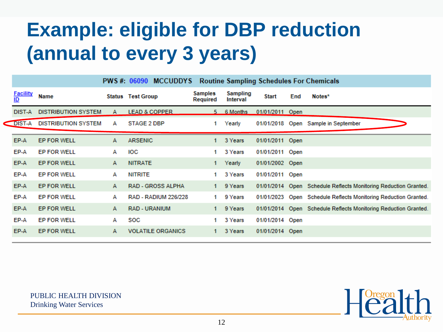|                              |                            |   | PWS#: 06090 MCCUDDYS        |                     |                      |                 |     | <b>Routine Sampling Schedules For Chemicals</b>                 |
|------------------------------|----------------------------|---|-----------------------------|---------------------|----------------------|-----------------|-----|-----------------------------------------------------------------|
| <b>Facility</b><br><u>ID</u> | <b>Name</b>                |   | <b>Status Test Group</b>    | Samples<br>Required | Sampling<br>Interval | <b>Start</b>    | End | Notes*                                                          |
| DIST-A                       | <b>DISTRIBUTION SYSTEM</b> | A | <b>LEAD &amp; COPPER</b>    |                     | 5 6 Months           | 01/01/2011 Open |     |                                                                 |
| DIST-A                       | <b>DISTRIBUTION SYSTEM</b> | А | STAGE 2 DBP                 | 1.                  | Yearly               |                 |     | 01/01/2018 Open Sample in September                             |
| EP-A                         | EP FOR WELL                | А | <b>ARSENIC</b>              | 1.                  | 3 Years              | 01/01/2011 Open |     |                                                                 |
| EP-A                         | <b>EP FOR WELL</b>         | А | IOC                         | 1                   | 3 Years              | 01/01/2011 Open |     |                                                                 |
| EP-A                         | EP FOR WELL                | A | <b>NITRATE</b>              | 1                   | Yearly               | 01/01/2002 Open |     |                                                                 |
| EP-A                         | <b>EP FOR WELL</b>         | А | <b>NITRITE</b>              |                     | 3 Years              | 01/01/2011 Open |     |                                                                 |
| EP-A                         | <b>EP FOR WELL</b>         | A | <b>RAD - GROSS ALPHA</b>    | 1.                  | 9 Years              |                 |     | 01/01/2014 Open Schedule Reflects Monitoring Reduction Granted. |
| EP-A                         | <b>EP FOR WELL</b>         | А | <b>RAD - RADIUM 226/228</b> | 1.                  | 9 Years              |                 |     | 01/01/2023 Open Schedule Reflects Monitoring Reduction Granted. |
| EP-A                         | EP FOR WELL                | А | <b>RAD - URANIUM</b>        | 1.                  | 9 Years              |                 |     | 01/01/2014 Open Schedule Reflects Monitoring Reduction Granted. |
| EP-A                         | <b>EP FOR WELL</b>         | А | <b>SOC</b>                  | 1                   | 3 Years              | 01/01/2014 Open |     |                                                                 |
| EP-A                         | EP FOR WELL                | A | <b>VOLATILE ORGANICS</b>    |                     | 3 Years              | 01/01/2014 Open |     |                                                                 |
|                              |                            |   |                             |                     |                      |                 |     |                                                                 |

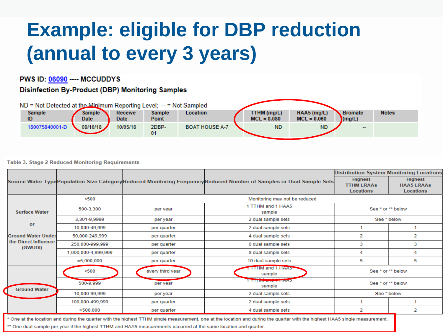#### PWS ID: 06090 ---- MCCUDDYS

#### **Disinfection By-Product (DBP) Monitoring Samples**



#### **Table 3. Stage 2 Reduced Monitoring Requirements**

|                                 |                     |                  |                                                                                                                       | <b>Distribution System Monitoring Locations</b>  |                                                  |  |  |
|---------------------------------|---------------------|------------------|-----------------------------------------------------------------------------------------------------------------------|--------------------------------------------------|--------------------------------------------------|--|--|
|                                 |                     |                  | Source Water Type Population Size Category Reduced Monitoring Frequency Reduced Number of Samples or Dual Sample Sets | <b>Highest</b><br><b>TTHM LRAAS</b><br>Locations | <b>Highest</b><br><b>HAA5 LRAAs</b><br>Locations |  |  |
|                                 | $500$               |                  | Monitoring may not be reduced                                                                                         |                                                  |                                                  |  |  |
| <b>Surface Water</b>            | 500-3,300           | per year         | 1 TTHM and 1 HAA5<br>sample                                                                                           | See * or ** below                                |                                                  |  |  |
|                                 | 3,301-9,9999        | per year         | 2 dual sample sets                                                                                                    | See * below                                      |                                                  |  |  |
| or                              | 10,000-49,999       | per quarter      | 2 dual sample sets                                                                                                    |                                                  |                                                  |  |  |
| <b>Ground Water Under</b>       | 50,000-249,999      | per quarter      | 4 dual sample sets                                                                                                    | 2                                                | 2                                                |  |  |
| the Direct Influence<br>(GWUDI) | 250,000-999,999     | per quarter      | 6 dual sample sets                                                                                                    | 3                                                | 3                                                |  |  |
|                                 | 1,000,000-4,999,999 | per quarter      | 8 dual sample sets                                                                                                    | 4                                                | 4                                                |  |  |
|                                 | $=5,000,000$        | per quarter      | 10 dual sample sets                                                                                                   | 5                                                | 5                                                |  |  |
|                                 | $500$               | every third year | <b>TTHM and 1 HAA5</b><br>sample                                                                                      | See * or ** below                                |                                                  |  |  |
| <b>Ground Water</b>             | 500-9,999           | per year         | <b>THEIR CITY OF LITTLE IN</b><br>sample                                                                              | See * or ** below                                |                                                  |  |  |
|                                 | 10,000-99,999       | per year         | 2 dual sample sets                                                                                                    | See * below                                      |                                                  |  |  |
|                                 | 100,000-499,999     | per quarter      | 2 dual sample sets                                                                                                    |                                                  |                                                  |  |  |
|                                 | $=500,000$          | per quarter      | 4 dual sample sets                                                                                                    | $\overline{2}$                                   | 2                                                |  |  |

\* One at the location and during the quarter with the highest TTHM single measurement, one at the location and during the quarter with the highest HAA5 single measurement.<br>\*\* One dual sample per year if the highest TTHM an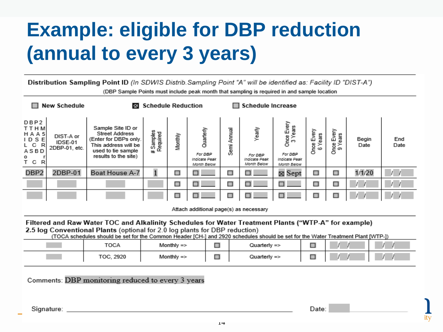Distribution Sampling Point ID (In SDWIS Distrib. Sampling Point "A" will be identified as: Facility ID "DIST-A") (DBP Sample Points must include peak month that sampling is required in and sample location

|                                                              | <b>New Schedule</b>                                                       | $\times$                                                                                                                                                                                                                                                                                                                | <b>Schedule Reduction</b> |         | <b>Schedule Increase</b>                             |                                   |                                                   |                                                                  |                          |                             |               |             |
|--------------------------------------------------------------|---------------------------------------------------------------------------|-------------------------------------------------------------------------------------------------------------------------------------------------------------------------------------------------------------------------------------------------------------------------------------------------------------------------|---------------------------|---------|------------------------------------------------------|-----------------------------------|---------------------------------------------------|------------------------------------------------------------------|--------------------------|-----------------------------|---------------|-------------|
| DBP2<br>TTHM<br>HAA5<br>IDSE<br>R<br>L C<br>ASBD<br>T C<br>R | DIST-A or<br>IDSE-01<br>2DBP-01, etc.                                     | Sample Site ID or<br><b>Street Address</b><br>(Enter for DBPs only.)<br>This address will be<br>used to tie sample<br>results to the site)                                                                                                                                                                              | # Samples<br>Required     | Monthly | Quarterly<br>For DBP<br>Indicate Peak<br>Month Below | Annual<br>Semi.                   | Yearly<br>For DBP<br>Indicate Peak<br>Month Below | Once Every<br>3 Years<br>For DBP<br>Indicate Peak<br>Month Below | Every<br>6 Years<br>Once | Every<br>Years<br>Once<br>တ | Begin<br>Date | End<br>Date |
| DBP2                                                         | 2DBP-01                                                                   | Boat House A-7                                                                                                                                                                                                                                                                                                          |                           | □       |                                                      | □                                 |                                                   | ⊠ Sept                                                           | □                        | □                           | 1/1/20        |             |
|                                                              |                                                                           |                                                                                                                                                                                                                                                                                                                         |                           | □       |                                                      | □                                 | п                                                 | п                                                                | □                        | □                           |               |             |
|                                                              |                                                                           |                                                                                                                                                                                                                                                                                                                         |                           |         |                                                      | □                                 |                                                   |                                                                  | □                        | □                           |               |             |
|                                                              |                                                                           |                                                                                                                                                                                                                                                                                                                         |                           |         |                                                      |                                   | Attach additional page(s) as necessary            |                                                                  |                          |                             |               |             |
|                                                              |                                                                           | Filtered and Raw Water TOC and Alkalinity Schedules for Water Treatment Plants ("WTP-A" for example)<br>2.5 log Conventional Plants (optional for 2.0 log plants for DBP reduction)<br>(TOCA schedules should be set for the Common Header [CH-] and 2920 schedules should be set for the Water Treatment Plant [WTP-]) |                           |         |                                                      |                                   |                                                   |                                                                  |                          |                             |               |             |
|                                                              | □<br>□<br><b>TOCA</b><br>Monthly $\Rightarrow$<br>Quarterly $\Rightarrow$ |                                                                                                                                                                                                                                                                                                                         |                           |         |                                                      |                                   |                                                   |                                                                  |                          |                             |               |             |
|                                                              |                                                                           | TOC. 2920                                                                                                                                                                                                                                                                                                               | Monthly $\Rightarrow$     |         |                                                      | П<br>□<br>Quarterly $\Rightarrow$ |                                                   |                                                                  |                          |                             |               |             |
|                                                              |                                                                           |                                                                                                                                                                                                                                                                                                                         |                           |         |                                                      |                                   |                                                   |                                                                  |                          |                             |               |             |

Comments: DBP monitoring reduced to every 3 years

Signature:

Date: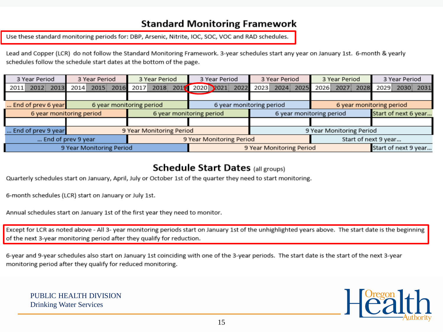#### **Standard Monitoring Framework**

Use these standard monitoring periods for: DBP, Arsenic, Nitrite, IOC, SOC, VOC and RAD schedules.

Lead and Copper (LCR) do not follow the Standard Monitoring Framework. 3-year schedules start any year on January 1st. 6-month & yearly schedules follow the schedule start dates at the bottom of the page.

| 3 Year Period            | 3 Year Period<br>3 Year Period |                          | 3 Year Period            | 3 Year Period            | 3 Year Period            | 3 Year Period  |  |  |
|--------------------------|--------------------------------|--------------------------|--------------------------|--------------------------|--------------------------|----------------|--|--|
| 2012 2013<br>2011        | 2014 2015 2016                 | 2017 2018 2017           | 2020 2021 2022           | 2023 2024 2025           | 2026 2027 2028           | 2029 2030 2031 |  |  |
|                          |                                |                          |                          |                          |                          |                |  |  |
| End of prev 6 year       |                                | 6 year monitoring period |                          | 6 year monitoring period | 6 year monitoring period |                |  |  |
|                          | 6 year monitoring period       |                          | 6 year monitoring period | 6 year monitoring period | Start of next 6 year     |                |  |  |
|                          |                                |                          |                          |                          |                          |                |  |  |
| End of prev 9 year       |                                | 9 Year Monitoring Period |                          |                          | 9 Year Monitoring Period |                |  |  |
| End of prev 9 year       |                                |                          | 9 Year Monitoring Period |                          | Start of next 9 year     |                |  |  |
| 9 Year Monitoring Period |                                |                          | 9 Year Monitoring Period | Start of next 9 year     |                          |                |  |  |

#### **Schedule Start Dates (all groups)**

Quarterly schedules start on January, April, July or October 1st of the quarter they need to start monitoring.

6-month schedules (LCR) start on January or July 1st.

Annual schedules start on January 1st of the first year they need to monitor.

Except for LCR as noted above - All 3- year monitoring periods start on January 1st of the unhighlighted years above. The start date is the beginning of the next 3-year monitoring period after they qualify for reduction.

6-year and 9-year schedules also start on January 1st coinciding with one of the 3-year periods. The start date is the start of the next 3-year monitoring period after they qualify for reduced monitoring.

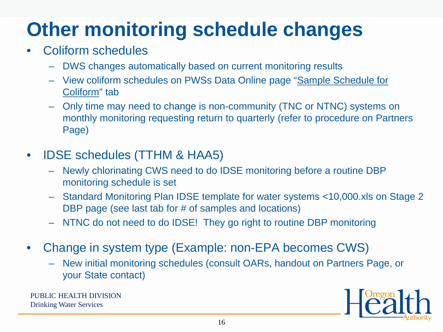# **Other monitoring schedule changes**

#### • Coliform schedules

- DWS changes automatically based on current monitoring results
- View coliform schedules on PWSs Data Online page "Sample Schedule for Coliform" tab
- Only time may need to change is non-community (TNC or NTNC) systems on monthly monitoring requesting return to quarterly (refer to procedure on Partners Page)
- IDSE schedules (TTHM & HAA5)
	- Newly chlorinating CWS need to do IDSE monitoring before a routine DBP monitoring schedule is set
	- Standard Monitoring Plan IDSE template for water systems <10,000.xls on Stage 2 DBP page (see last tab for # of samples and locations)
	- NTNC do not need to do IDSE! They go right to routine DBP monitoring
- Change in system type (Example: non-EPA becomes CWS)
	- New initial monitoring schedules (consult OARs, handout on Partners Page, or your State contact)

PUBLIC HEALTH DIVISION Drinking Water Services

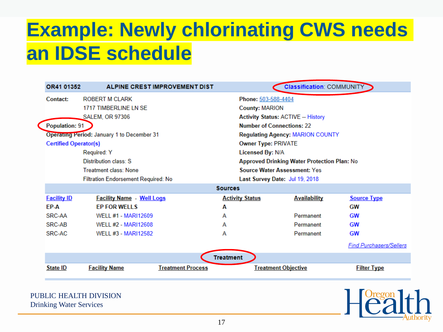#### **Example: Newly chlorinating CWS needs an IDSE schedule**

| OR41 01352                        |                                            | <b>ALPINE CREST IMPROVEMENT DIST</b> |                                             | <b>Classification: COMMUNITY</b>        |                                |  |  |  |  |  |
|-----------------------------------|--------------------------------------------|--------------------------------------|---------------------------------------------|-----------------------------------------|--------------------------------|--|--|--|--|--|
| <b>ROBERT M CLARK</b><br>Contact: |                                            |                                      | Phone: 503-588-4404                         |                                         |                                |  |  |  |  |  |
|                                   | <b>1717 TIMBERLINE LN SE</b>               |                                      | <b>County: MARION</b>                       |                                         |                                |  |  |  |  |  |
|                                   | SALEM, OR 97306                            |                                      | <b>Activity Status: ACTIVE -- History</b>   |                                         |                                |  |  |  |  |  |
| <b>Population: 91</b>             |                                            |                                      |                                             | <b>Number of Connections: 22</b>        |                                |  |  |  |  |  |
|                                   | Operating Period: January 1 to December 31 |                                      |                                             | <b>Regulating Agency: MARION COUNTY</b> |                                |  |  |  |  |  |
| <b>Certified Operator(s)</b>      |                                            |                                      | <b>Owner Type: PRIVATE</b>                  |                                         |                                |  |  |  |  |  |
|                                   | Required: Y                                |                                      | <b>Licensed By: N/A</b>                     |                                         |                                |  |  |  |  |  |
|                                   | Distribution class: S                      |                                      | Approved Drinking Water Protection Plan: No |                                         |                                |  |  |  |  |  |
|                                   | <b>Treatment class: None</b>               |                                      |                                             | <b>Source Water Assessment: Yes</b>     |                                |  |  |  |  |  |
|                                   | Filtration Endorsement Required: No        |                                      | Last Survey Date: Jul 19, 2018              |                                         |                                |  |  |  |  |  |
|                                   |                                            |                                      | <b>Sources</b>                              |                                         |                                |  |  |  |  |  |
| <b>Facility ID</b>                | <b>Facility Name - Well Logs</b>           |                                      | <b>Activity Status</b>                      | <b>Availability</b>                     | <b>Source Type</b>             |  |  |  |  |  |
| FP-A                              | <b>FP FOR WELLS</b>                        | A                                    |                                             |                                         | GW                             |  |  |  |  |  |
| SRC-AA                            | <b>WELL #1 - MARI12609</b>                 | А                                    |                                             | Permanent                               | GW                             |  |  |  |  |  |
| SRC-AB                            | WELL #2 - MARI12608                        | A                                    |                                             | Permanent                               | GW                             |  |  |  |  |  |
| SRC-AC                            | WELL #3 - MARI12582                        | А                                    |                                             | Permanent                               | GW                             |  |  |  |  |  |
|                                   |                                            |                                      |                                             |                                         | <b>Find Purchasers/Sellers</b> |  |  |  |  |  |
|                                   |                                            |                                      | <b>Treatment</b>                            |                                         |                                |  |  |  |  |  |
| State ID                          | <b>Facility Name</b>                       | <b>Treatment Process</b>             |                                             | <b>Treatment Objective</b>              | <b>Filter Type</b>             |  |  |  |  |  |
|                                   |                                            |                                      |                                             |                                         |                                |  |  |  |  |  |

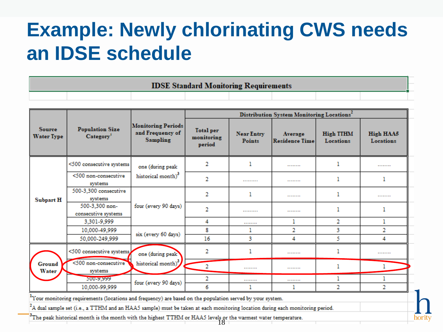### **Example: Newly chlorinating CWS needs an IDSE schedule**

| <b>IDSE Standard Monitoring Requirements</b> |  |  |  |  |  |  |  |  |
|----------------------------------------------|--|--|--|--|--|--|--|--|
|                                              |  |  |  |  |  |  |  |  |

|                                                                                                                                |                                                 |                                                                  | Distribution System Monitoring Locations <sup>2</sup> |                             |                                  |                               |                               |  |  |  |
|--------------------------------------------------------------------------------------------------------------------------------|-------------------------------------------------|------------------------------------------------------------------|-------------------------------------------------------|-----------------------------|----------------------------------|-------------------------------|-------------------------------|--|--|--|
| <b>Source</b><br><b>Water Type</b>                                                                                             | <b>Population Size</b><br>Category <sup>1</sup> | <b>Monitoring Periods</b><br>and Frequency of<br><b>Sampling</b> | <b>Total</b> per<br>monitoring<br>period              | <b>Near Entry</b><br>Points | Average<br><b>Residence Time</b> | <b>High TTHM</b><br>Locations | <b>High HAA5</b><br>Locations |  |  |  |
|                                                                                                                                | <500 consecutive systems                        | one (during peak                                                 | 2                                                     | 1                           |                                  |                               | .                             |  |  |  |
| <b>Subpart H</b>                                                                                                               | <500 non-consecutive<br>systems                 | historical month) <sup>3</sup>                                   | 2                                                     |                             |                                  |                               |                               |  |  |  |
|                                                                                                                                | 500-3.300 consecutive<br>systems                |                                                                  | 2                                                     | 1                           |                                  | ı                             | .                             |  |  |  |
|                                                                                                                                | 500-3,300 non-<br>consecutive systems           | four (every 90 days)                                             | 2                                                     |                             |                                  | ı                             |                               |  |  |  |
|                                                                                                                                | 3,301-9,999                                     |                                                                  | 4                                                     |                             | ı                                | 2                             |                               |  |  |  |
|                                                                                                                                | 10.000-49.999                                   |                                                                  | 8                                                     | ı                           | 2                                | 3                             | 2                             |  |  |  |
|                                                                                                                                | 50,000-249,999                                  | six (every 60 days)                                              | 16                                                    | 3                           | 4                                | 5                             | 4                             |  |  |  |
|                                                                                                                                | <500 consecutive systems                        | one (during peak                                                 | 2                                                     |                             |                                  |                               | .                             |  |  |  |
| <b>Ground</b><br>Water                                                                                                         | <500 non-consecutive<br>systems                 | historical month)                                                | $\overline{2}$                                        |                             |                                  | ı                             |                               |  |  |  |
|                                                                                                                                | 500-9.999                                       | four (every 90 days)                                             | 2                                                     |                             |                                  | 1                             |                               |  |  |  |
|                                                                                                                                | 10,000-99,999                                   |                                                                  | 6                                                     |                             |                                  | 2                             | 2                             |  |  |  |
| <sup>1</sup> Your monitoring requirements (locations and frequency) are based on the population served by your system.         |                                                 |                                                                  |                                                       |                             |                                  |                               |                               |  |  |  |
| $A$ dual sample set (i.e., a TTHM and an HAA5 sample) must be taken at each monitoring location during each monitoring period. |                                                 |                                                                  |                                                       |                             |                                  |                               |                               |  |  |  |
| <sup>3</sup> The peak historical month is the month with the highest TTHM or HAA5 levels or the warmest water temperature.     |                                                 |                                                                  |                                                       |                             |                                  |                               |                               |  |  |  |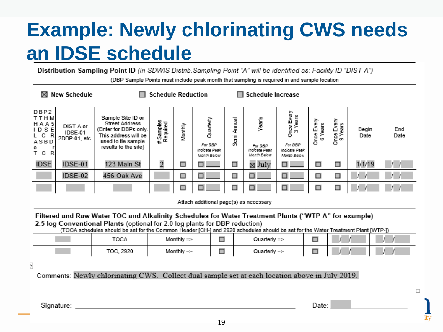### **Example: Newly chlorinating CWS needs an IDSE schedule**

Distribution Sampling Point ID (In SDWIS Distrib. Sampling Point "A" will be identified as: Facility ID "DIST-A")

(DBP Sample Points must include peak month that sampling is required in and sample location

| <b>New Schedule</b><br><b>Schedule Reduction</b><br>⊠                                                                                                                                                                                                                                                                   |                                                                         |                                                                                                                                           |                       |                       |                                                      | <b>Schedule Increase</b> |                                                   |                                                                  |                       |                       |               |             |
|-------------------------------------------------------------------------------------------------------------------------------------------------------------------------------------------------------------------------------------------------------------------------------------------------------------------------|-------------------------------------------------------------------------|-------------------------------------------------------------------------------------------------------------------------------------------|-----------------------|-----------------------|------------------------------------------------------|--------------------------|---------------------------------------------------|------------------------------------------------------------------|-----------------------|-----------------------|---------------|-------------|
| DBP2<br>TTHM<br><b>HAA5</b><br>IDSE<br>R<br>С<br>ASBD<br>T.<br>С<br>R                                                                                                                                                                                                                                                   | DIST-A or<br>IDSE-01<br>2DBP-01. etc.                                   | Sample Site ID or<br><b>Street Address</b><br>(Enter for DBPs only.<br>This address will be<br>used to tie sample<br>results to the site) | # Samples<br>Required | Monthly               | Quarterly<br>For DBP<br>Indicate Peak<br>Month Below | Annual<br>Semi           | Yearly<br>For DBP<br>Indicate Peak<br>Month Below | Once Every<br>3 Years<br>For DBP<br>Indicate Peak<br>Month Below | Once Every<br>6 Years | Once Every<br>9 Years | Begin<br>Date | End<br>Date |
| <b>IDSE</b>                                                                                                                                                                                                                                                                                                             | IDSE-01                                                                 | 123 Main St                                                                                                                               | $\overline{c}$        | □                     |                                                      | □                        | ⊠ July                                            |                                                                  | □                     | □                     | 1/1/19        |             |
|                                                                                                                                                                                                                                                                                                                         | IDSE-02                                                                 | 456 Oak Ave                                                                                                                               |                       | □                     |                                                      | □                        | П                                                 |                                                                  | □                     | □                     |               |             |
|                                                                                                                                                                                                                                                                                                                         |                                                                         |                                                                                                                                           |                       | □                     |                                                      |                          |                                                   |                                                                  | □                     | □                     |               |             |
|                                                                                                                                                                                                                                                                                                                         |                                                                         |                                                                                                                                           |                       |                       | Attach additional page(s) as necessary               |                          |                                                   |                                                                  |                       |                       |               |             |
| Filtered and Raw Water TOC and Alkalinity Schedules for Water Treatment Plants ("WTP-A" for example)<br>2.5 log Conventional Plants (optional for 2.0 log plants for DBP reduction)<br>(TOCA schedules should be set for the Common Header [CH-] and 2920 schedules should be set for the Water Treatment Plant [WTP-]) |                                                                         |                                                                                                                                           |                       |                       |                                                      |                          |                                                   |                                                                  |                       |                       |               |             |
|                                                                                                                                                                                                                                                                                                                         |                                                                         | <b>TOCA</b>                                                                                                                               |                       | Monthly $\Rightarrow$ | □                                                    |                          | Quarterly $\Rightarrow$                           |                                                                  | □                     |                       |               |             |
|                                                                                                                                                                                                                                                                                                                         | □<br>□<br>Monthly $\Rightarrow$<br>Quarterly $\Rightarrow$<br>TOC, 2920 |                                                                                                                                           |                       |                       |                                                      |                          |                                                   |                                                                  |                       |                       |               |             |
| ₽                                                                                                                                                                                                                                                                                                                       |                                                                         |                                                                                                                                           |                       |                       |                                                      |                          |                                                   |                                                                  |                       |                       |               |             |
| Comments: Newly chlorinating CWS. Collect dual sample set at each location above in July 2019.                                                                                                                                                                                                                          |                                                                         |                                                                                                                                           |                       |                       |                                                      |                          |                                                   |                                                                  |                       |                       |               |             |
|                                                                                                                                                                                                                                                                                                                         |                                                                         |                                                                                                                                           |                       |                       |                                                      |                          |                                                   |                                                                  |                       |                       |               | □           |
|                                                                                                                                                                                                                                                                                                                         |                                                                         |                                                                                                                                           |                       |                       |                                                      |                          |                                                   |                                                                  |                       |                       |               |             |

Signature:

Date: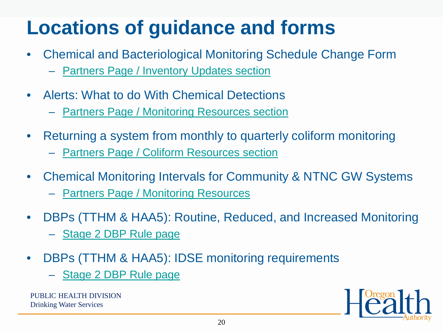## **Locations of guidance and forms**

- Chemical and Bacteriological Monitoring Schedule Change Form
	- **[Partners Page / Inventory Updates section](https://www.oregon.gov/oha/PH/HEALTHYENVIRONMENTS/DRINKINGWATER/PARTNERS/Pages/inventory.aspx)**
- Alerts: What to do With Chemical Detections
	- [Partners Page / Monitoring Resources section](https://www.oregon.gov/oha/PH/HEALTHYENVIRONMENTS/DRINKINGWATER/PARTNERS/Pages/monitoring.aspx)
- Returning a system from monthly to quarterly coliform monitoring
	- **[Partners Page / Coliform Resources section](https://www.oregon.gov/oha/PH/HEALTHYENVIRONMENTS/DRINKINGWATER/PARTNERS/Pages/gwr.aspx)**
- Chemical Monitoring Intervals for Community & NTNC GW Systems
	- [Partners Page / Monitoring Resources](https://www.oregon.gov/oha/PH/HEALTHYENVIRONMENTS/DRINKINGWATER/PARTNERS/Documents/monitoring/chemsampreq.pdf)
- DBPs (TTHM & HAA5): Routine, Reduced, and Increased Monitoring
	- [Stage 2 DBP Rule page](https://www.oregon.gov/oha/PH/HEALTHYENVIRONMENTS/DRINKINGWATER/RULES/STAGE2/Pages/monitoring.aspx)
- DBPs (TTHM & HAA5): IDSE monitoring requirements
	- [Stage 2 DBP Rule page](https://www.oregon.gov/oha/PH/HEALTHYENVIRONMENTS/DRINKINGWATER/RULES/STAGE2/Pages/idse.aspx)

PUBLIC HEALTH DIVISION Drinking Water Services